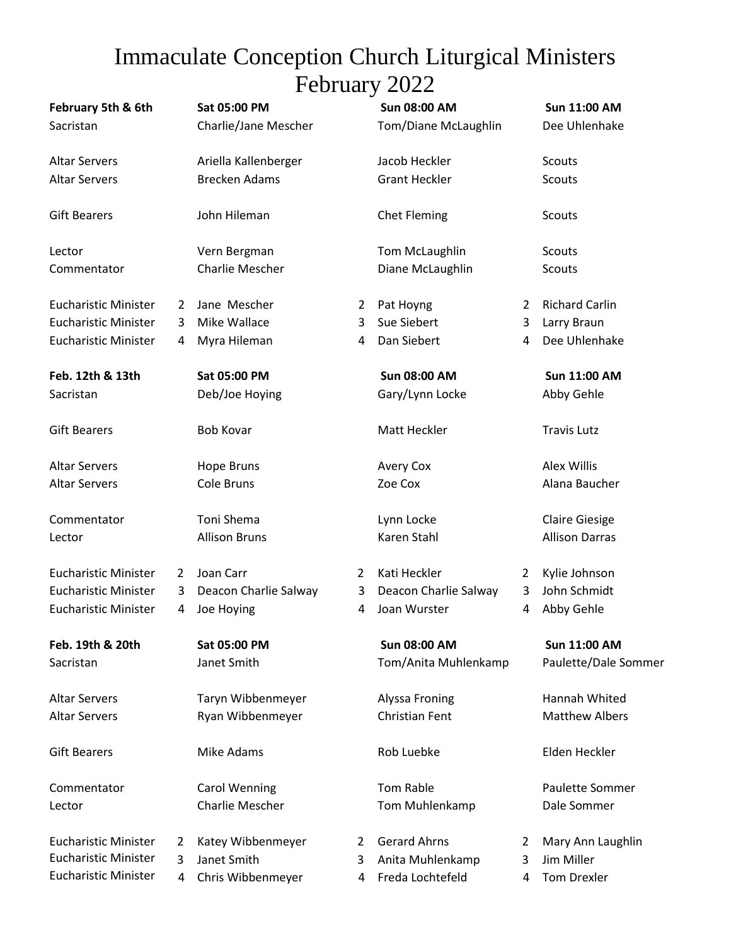## Immaculate Conception Church Liturgical Ministers February 2022

| February 5th & 6th          |   | Sat 05:00 PM          |                | <b>Sun 08:00 AM</b>   |                | <b>Sun 11:00 AM</b>   |
|-----------------------------|---|-----------------------|----------------|-----------------------|----------------|-----------------------|
| Sacristan                   |   | Charlie/Jane Mescher  |                | Tom/Diane McLaughlin  |                | Dee Uhlenhake         |
| <b>Altar Servers</b>        |   | Ariella Kallenberger  |                | Jacob Heckler         |                | Scouts                |
| <b>Altar Servers</b>        |   | <b>Brecken Adams</b>  |                | <b>Grant Heckler</b>  |                | <b>Scouts</b>         |
| <b>Gift Bearers</b>         |   | John Hileman          |                | <b>Chet Fleming</b>   |                | Scouts                |
| Lector                      |   | Vern Bergman          |                | <b>Tom McLaughlin</b> |                | Scouts                |
| Commentator                 |   | Charlie Mescher       |                | Diane McLaughlin      |                | Scouts                |
| <b>Eucharistic Minister</b> | 2 | Jane Mescher          | $\overline{2}$ | Pat Hoyng             | $\overline{2}$ | <b>Richard Carlin</b> |
| <b>Eucharistic Minister</b> | 3 | Mike Wallace          | 3              | Sue Siebert           | 3              | Larry Braun           |
| <b>Eucharistic Minister</b> | 4 | Myra Hileman          | 4              | Dan Siebert           | 4              | Dee Uhlenhake         |
| Feb. 12th & 13th            |   | Sat 05:00 PM          |                | <b>Sun 08:00 AM</b>   |                | <b>Sun 11:00 AM</b>   |
| Sacristan                   |   | Deb/Joe Hoying        |                | Gary/Lynn Locke       |                | Abby Gehle            |
| <b>Gift Bearers</b>         |   | <b>Bob Kovar</b>      |                | Matt Heckler          |                | <b>Travis Lutz</b>    |
| <b>Altar Servers</b>        |   | Hope Bruns            |                | <b>Avery Cox</b>      |                | Alex Willis           |
| <b>Altar Servers</b>        |   | <b>Cole Bruns</b>     |                | Zoe Cox               |                | Alana Baucher         |
| Commentator                 |   | Toni Shema            |                | Lynn Locke            |                | <b>Claire Giesige</b> |
| Lector                      |   | <b>Allison Bruns</b>  |                | Karen Stahl           |                | <b>Allison Darras</b> |
| <b>Eucharistic Minister</b> | 2 | Joan Carr             | $\overline{2}$ | Kati Heckler          | 2              | Kylie Johnson         |
| <b>Eucharistic Minister</b> | 3 | Deacon Charlie Salway | 3              | Deacon Charlie Salway | 3              | John Schmidt          |
| <b>Eucharistic Minister</b> | 4 | Joe Hoying            | 4              | Joan Wurster          | 4              | Abby Gehle            |
| Feb. 19th & 20th            |   | Sat 05:00 PM          |                | <b>Sun 08:00 AM</b>   |                | <b>Sun 11:00 AM</b>   |
| Sacristan                   |   | Janet Smith           |                | Tom/Anita Muhlenkamp  |                | Paulette/Dale Sommer  |
| <b>Altar Servers</b>        |   | Taryn Wibbenmeyer     |                | Alyssa Froning        |                | Hannah Whited         |
| <b>Altar Servers</b>        |   | Ryan Wibbenmeyer      |                | Christian Fent        |                | <b>Matthew Albers</b> |
| <b>Gift Bearers</b>         |   | <b>Mike Adams</b>     |                | Rob Luebke            |                | Elden Heckler         |
| Commentator                 |   | <b>Carol Wenning</b>  |                | <b>Tom Rable</b>      |                | Paulette Sommer       |
| Lector                      |   | Charlie Mescher       |                | Tom Muhlenkamp        |                | Dale Sommer           |
| <b>Eucharistic Minister</b> | 2 | Katey Wibbenmeyer     | 2              | <b>Gerard Ahrns</b>   | 2              | Mary Ann Laughlin     |
| <b>Eucharistic Minister</b> | 3 | Janet Smith           | 3              | Anita Muhlenkamp      | 3              | Jim Miller            |
| <b>Eucharistic Minister</b> | 4 | Chris Wibbenmeyer     | 4              | Freda Lochtefeld      | 4              | <b>Tom Drexler</b>    |